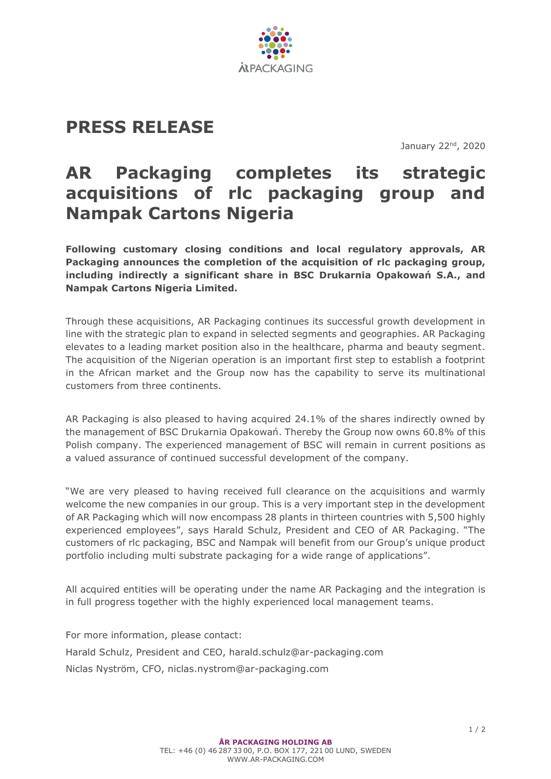

## **PRESS RELEASE**

January 22<sup>nd</sup>, 2020

## **AR Packaging completes its strategic acquisitions of rlc packaging group and Nampak Cartons Nigeria**

**Following customary closing conditions and local regulatory approvals, AR Packaging announces the completion of the acquisition of rlc packaging group, including indirectly a significant share in BSC Drukarnia Opakowań S.A., and Nampak Cartons Nigeria Limited.**

Through these acquisitions, AR Packaging continues its successful growth development in line with the strategic plan to expand in selected segments and geographies. AR Packaging elevates to a leading market position also in the healthcare, pharma and beauty segment. The acquisition of the Nigerian operation is an important first step to establish a footprint in the African market and the Group now has the capability to serve its multinational customers from three continents.

AR Packaging is also pleased to having acquired 24.1% of the shares indirectly owned by the management of BSC Drukarnia Opakowań. Thereby the Group now owns 60.8% of this Polish company. The experienced management of BSC will remain in current positions as a valued assurance of continued successful development of the company.

"We are very pleased to having received full clearance on the acquisitions and warmly welcome the new companies in our group. This is a very important step in the development of AR Packaging which will now encompass 28 plants in thirteen countries with 5,500 highly experienced employees", says Harald Schulz, President and CEO of AR Packaging. "The customers of rlc packaging, BSC and Nampak will benefit from our Group's unique product portfolio including multi substrate packaging for a wide range of applications".

All acquired entities will be operating under the name AR Packaging and the integration is in full progress together with the highly experienced local management teams.

For more information, please contact: Harald Schulz, President and CEO, harald.schulz@ar-packaging.com Niclas Nyström, CFO, niclas.nystrom@ar-packaging.com